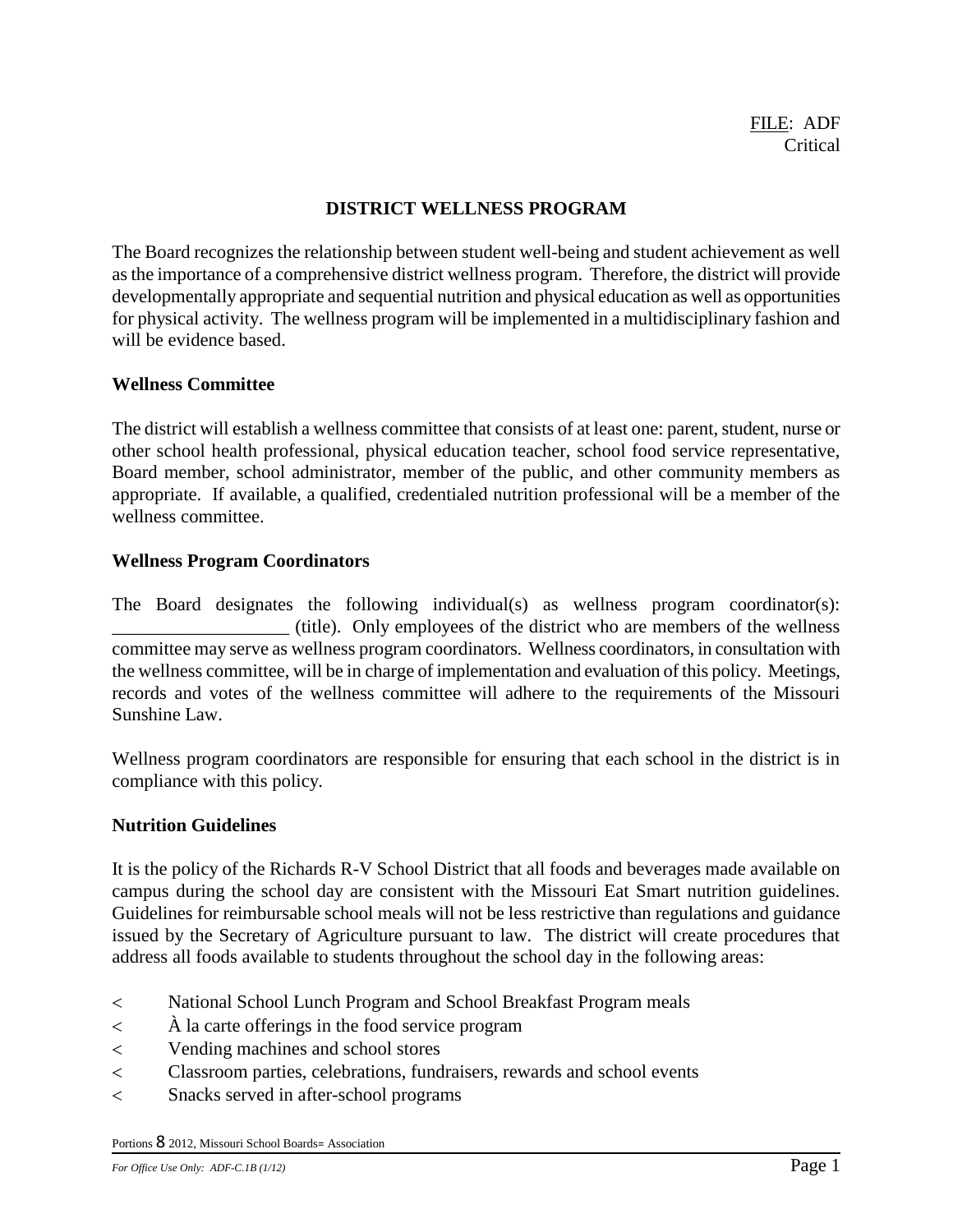# **DISTRICT WELLNESS PROGRAM**

The Board recognizes the relationship between student well-being and student achievement as well as the importance of a comprehensive district wellness program. Therefore, the district will provide developmentally appropriate and sequential nutrition and physical education as well as opportunities for physical activity. The wellness program will be implemented in a multidisciplinary fashion and will be evidence based.

### **Wellness Committee**

The district will establish a wellness committee that consists of at least one: parent, student, nurse or other school health professional, physical education teacher, school food service representative, Board member, school administrator, member of the public, and other community members as appropriate. If available, a qualified, credentialed nutrition professional will be a member of the wellness committee.

# **Wellness Program Coordinators**

The Board designates the following individual(s) as wellness program coordinator(s): \_\_\_\_\_\_\_\_\_\_\_\_\_\_\_\_\_\_\_ (title). Only employees of the district who are members of the wellness committee may serve as wellness program coordinators. Wellness coordinators, in consultation with the wellness committee, will be in charge of implementation and evaluation of this policy. Meetings, records and votes of the wellness committee will adhere to the requirements of the Missouri Sunshine Law.

Wellness program coordinators are responsible for ensuring that each school in the district is in compliance with this policy.

#### **Nutrition Guidelines**

It is the policy of the Richards R-V School District that all foods and beverages made available on campus during the school day are consistent with the Missouri Eat Smart nutrition guidelines. Guidelines for reimbursable school meals will not be less restrictive than regulations and guidance issued by the Secretary of Agriculture pursuant to law. The district will create procedures that address all foods available to students throughout the school day in the following areas:

- National School Lunch Program and School Breakfast Program meals
- À la carte offerings in the food service program
- Vending machines and school stores
- Classroom parties, celebrations, fundraisers, rewards and school events
- Snacks served in after-school programs

Portions 8 2012, Missouri School Boards<sup>=</sup> Association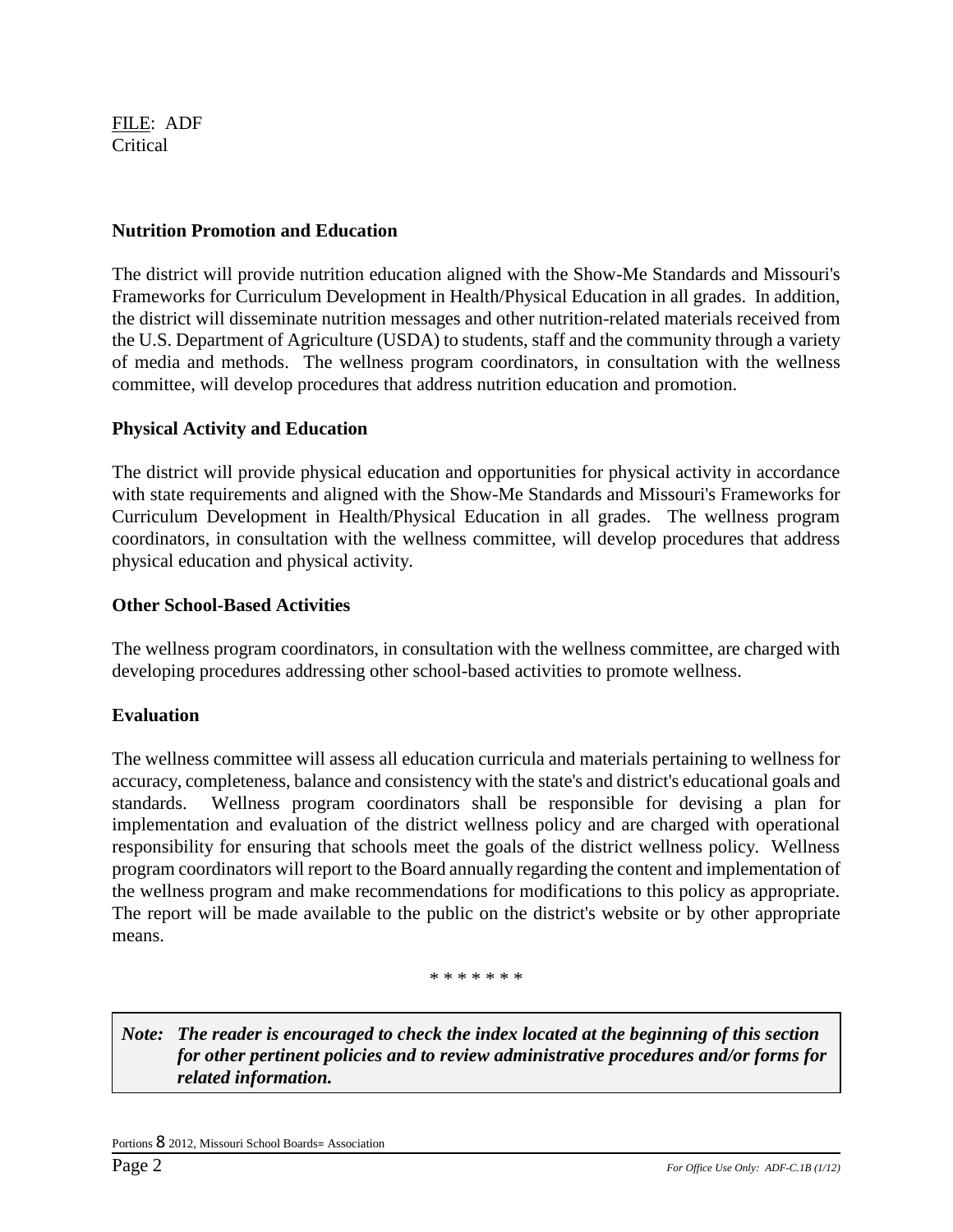FILE: ADF **Critical** 

### **Nutrition Promotion and Education**

The district will provide nutrition education aligned with the Show-Me Standards and Missouri's Frameworks for Curriculum Development in Health/Physical Education in all grades. In addition, the district will disseminate nutrition messages and other nutrition-related materials received from the U.S. Department of Agriculture (USDA) to students, staff and the community through a variety of media and methods. The wellness program coordinators, in consultation with the wellness committee, will develop procedures that address nutrition education and promotion.

# **Physical Activity and Education**

The district will provide physical education and opportunities for physical activity in accordance with state requirements and aligned with the Show-Me Standards and Missouri's Frameworks for Curriculum Development in Health/Physical Education in all grades. The wellness program coordinators, in consultation with the wellness committee, will develop procedures that address physical education and physical activity.

# **Other School-Based Activities**

The wellness program coordinators, in consultation with the wellness committee, are charged with developing procedures addressing other school-based activities to promote wellness.

# **Evaluation**

The wellness committee will assess all education curricula and materials pertaining to wellness for accuracy, completeness, balance and consistency with the state's and district's educational goals and standards. Wellness program coordinators shall be responsible for devising a plan for implementation and evaluation of the district wellness policy and are charged with operational responsibility for ensuring that schools meet the goals of the district wellness policy. Wellness program coordinators will report to the Board annually regarding the content and implementation of the wellness program and make recommendations for modifications to this policy as appropriate. The report will be made available to the public on the district's website or by other appropriate means.

#### \* \* \* \* \* \* \*

*Note: The reader is encouraged to check the index located at the beginning of this section for other pertinent policies and to review administrative procedures and/or forms for related information.*